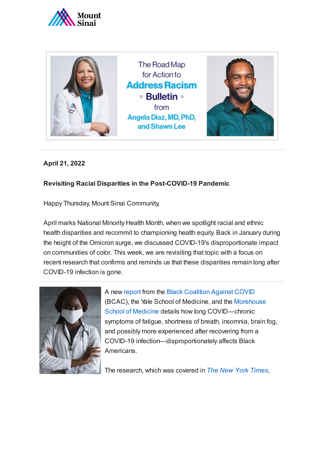



**April 21, 2022**

## **Revisiting Racial Disparities in the Post-COVID-19 Pandemic**

Happy Thursday, Mount Sinai Community,

April marks National Minority Health Month, when we spotlight racial and ethnic health disparities and recommit to championing health equity. Back in January during the height of the Omicron surge, we discussed COVID-19's disproportionate impact on communities of color. This week, we are revisiting that topic with a focus on recent research that confirms and reminds us that these disparities remain long after COVID-19 infection is gone.



A new [report](https://blackcoalitionagainstcovid.org/the-state-of-black-america-and-covid-19/) from the [Black Coalition Against COVID](https://blackcoalitionagainstcovid.org/) (BCAC), the Yale School of Medicine, and the Morehouse School of Medicine [details how long COVID—chronic](https://www.msm.edu/) symptoms of fatigue, shortness of breath, insomnia, brain fog, and possibly more experienced after recovering from a COVID-19 infection—disproportionately affects Black Americans.

The research, which was covered in *[The New York Times](https://www.nytimes.com/2022/03/29/health/long-covid-black.html%22HYPERLINK%20%22https://www.nytimes.com/2022/03/29/health/long-covid-black.html)*,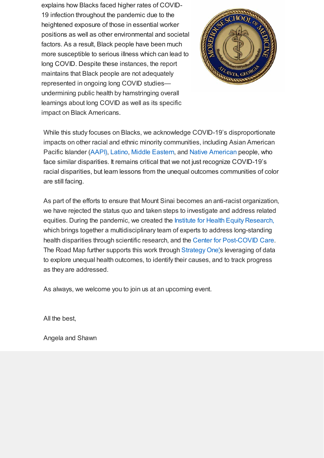explains how Blacks faced higher rates of COVID-19 infection throughout the pandemic due to the heightened exposure of those in essential worker positions as well as other environmental and societal factors. As a result, Black people have been much more susceptible to serious illness which can lead to long COVID. Despite these instances, the report maintains that Black people are not adequately represented in ongoing long COVID studies undermining public health by hamstringing overall learnings about long COVID as well as its specific impact on Black Americans.



While this study focuses on Blacks, we acknowledge COVID-19's disproportionate impacts on other racial and ethnic minority communities, including Asian American Pacific Islander ([AAPI\),](https://www.scientificamerican.com/article/covids-outsize-impact-on-asian-americans-is-being-ignored/) [Latino,](https://www.americanprogress.org/article/latinos-face-disproportionate-health-economic-impacts-covid-19/) [Middle Eastern](https://www.npr.org/2021/04/11/985128948/trying-to-assess-covids-impact-on-arab-american-communities-is-complicated), and [Native American](https://www.theguardian.com/us-news/2021/dec/13/pandemic-challenges-native-american-communities) people, who face similar disparities. It remains critical that we not just recognize COVID-19's racial disparities, but learn lessons from the unequal outcomes communities of color are still facing.

As part of the efforts to ensure that Mount Sinai becomes an anti-racist organization, we have rejected the status quo and taken steps to investigate and address related equities. During the pandemic, we created the [Institute for Health Equity Research,](https://icahn.mssm.edu/research/institute-health-equity-research) which brings together a multidisciplinary team of experts to address long-standing health disparities through scientific research, and the [Center for Post-COVID Care.](https://www.mountsinai.org/about/covid19/information-resources/center-post-covid-care) The Road Map further supports this work through [Strategy One'](https://www.mountsinai.org/files/ISMMS/Assets/About%20the%20School/Road-Map-for-Action-Bulletin-2-A-Deep-Dive-Into-Strategy-One.pdf)s leveraging of data to explore unequal health outcomes, to identify their causes, and to track progress as they are addressed.

As always, we welcome you to join us at an upcoming event.

All the best,

Angela and Shawn